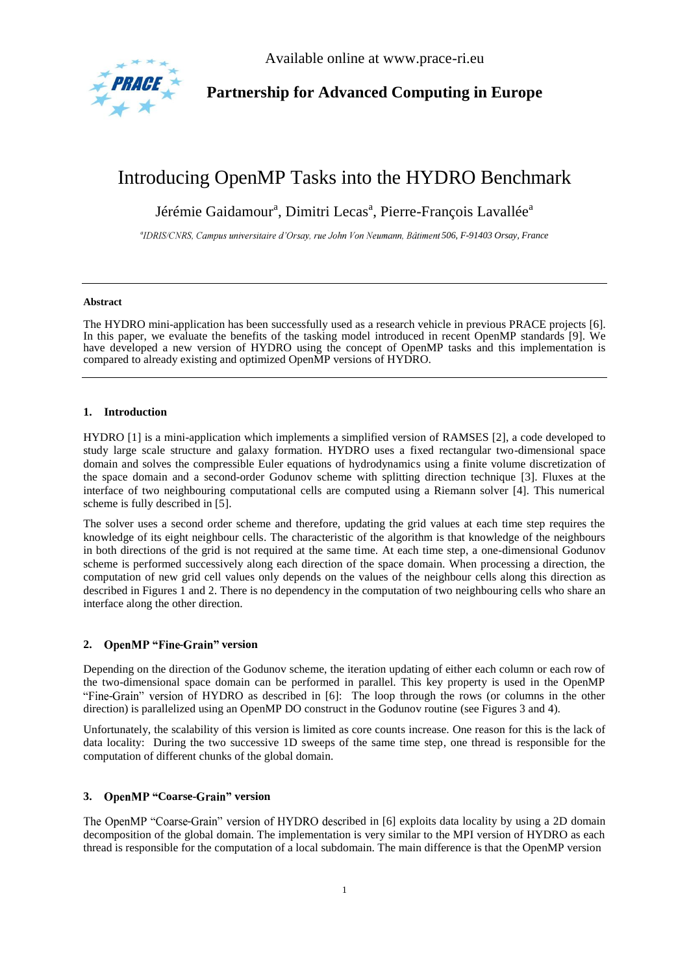

Available online at www.prace-ri.eu

# **Partnership for Advanced Computing in Europe**

# Introducing OpenMP Tasks into the HYDRO Benchmark

Jérémie Gaidamour<sup>a</sup>, Dimitri Lecas<sup>a</sup>, Pierre-François Lavallée<sup>a</sup>

*a 506, F-91403 Orsay, France*

#### **Abstract**

The HYDRO mini-application has been successfully used as a research vehicle in previous PRACE projects [6]. In this paper, we evaluate the benefits of the tasking model introduced in recent OpenMP standards [9]. We have developed a new version of HYDRO using the concept of OpenMP tasks and this implementation is compared to already existing and optimized OpenMP versions of HYDRO.

# **1. Introduction**

HYDRO [1] is a mini-application which implements a simplified version of RAMSES [2], a code developed to study large scale structure and galaxy formation. HYDRO uses a fixed rectangular two-dimensional space domain and solves the compressible Euler equations of hydrodynamics using a finite volume discretization of the space domain and a second-order Godunov scheme with splitting direction technique [3]. Fluxes at the interface of two neighbouring computational cells are computed using a Riemann solver [4]. This numerical scheme is fully described in [5].

The solver uses a second order scheme and therefore, updating the grid values at each time step requires the knowledge of its eight neighbour cells. The characteristic of the algorithm is that knowledge of the neighbours in both directions of the grid is not required at the same time. At each time step, a one-dimensional Godunov scheme is performed successively along each direction of the space domain. When processing a direction, the computation of new grid cell values only depends on the values of the neighbour cells along this direction as described in Figures 1 and 2. There is no dependency in the computation of two neighbouring cells who share an interface along the other direction.

# 2. **OpenMP** "Fine-Grain" version

Depending on the direction of the Godunov scheme, the iteration updating of either each column or each row of the two-dimensional space domain can be performed in parallel. This key property is used in the OpenMP "Fine-Grain" version of HYDRO as described in [6]: The loop through the rows (or columns in the other direction) is parallelized using an OpenMP DO construct in the Godunov routine (see Figures 3 and 4).

Unfortunately, the scalability of this version is limited as core counts increase. One reason for this is the lack of data locality: During the two successive 1D sweeps of the same time step, one thread is responsible for the computation of different chunks of the global domain.

### 3. OpenMP "Coarse-Grain" version

The OpenMP "Coarse-Grain" version of HYDRO described in [6] exploits data locality by using a 2D domain decomposition of the global domain. The implementation is very similar to the MPI version of HYDRO as each thread is responsible for the computation of a local subdomain. The main difference is that the OpenMP version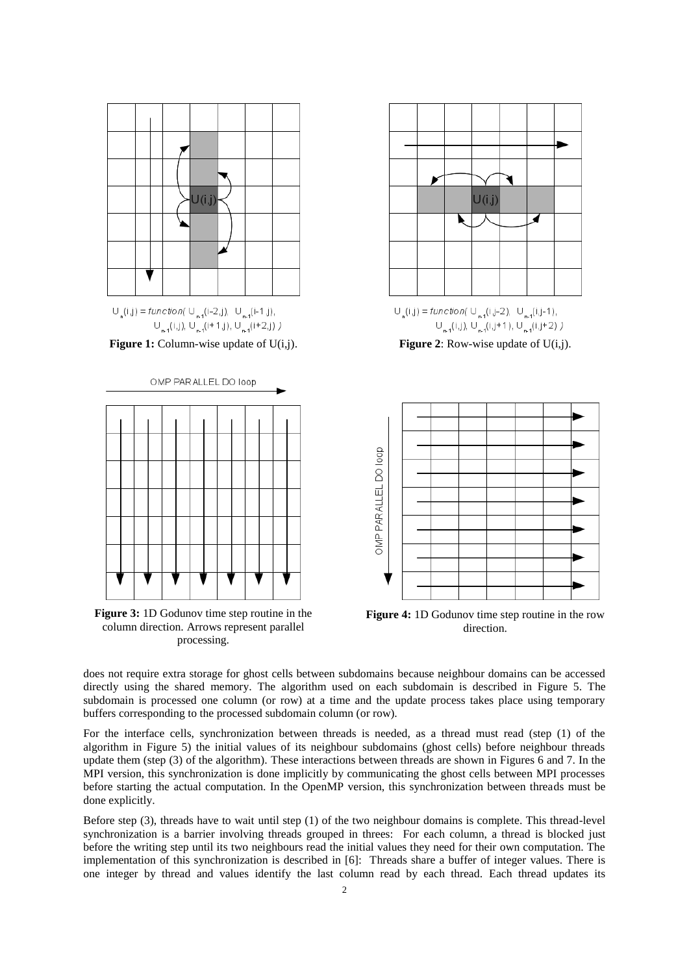







**Figure 3:** 1D Godunov time step routine in the column direction. Arrows represent parallel processing.





**Figure 4:** 1D Godunov time step routine in the row direction.

does not require extra storage for ghost cells between subdomains because neighbour domains can be accessed directly using the shared memory. The algorithm used on each subdomain is described in Figure 5. The subdomain is processed one column (or row) at a time and the update process takes place using temporary buffers corresponding to the processed subdomain column (or row).

For the interface cells, synchronization between threads is needed, as a thread must read (step (1) of the algorithm in Figure 5) the initial values of its neighbour subdomains (ghost cells) before neighbour threads update them (step (3) of the algorithm). These interactions between threads are shown in Figures 6 and 7. In the MPI version, this synchronization is done implicitly by communicating the ghost cells between MPI processes before starting the actual computation. In the OpenMP version, this synchronization between threads must be done explicitly.

Before step (3), threads have to wait until step (1) of the two neighbour domains is complete. This thread-level synchronization is a barrier involving threads grouped in threes: For each column, a thread is blocked just before the writing step until its two neighbours read the initial values they need for their own computation. The implementation of this synchronization is described in [6]: Threads share a buffer of integer values. There is one integer by thread and values identify the last column read by each thread. Each thread updates its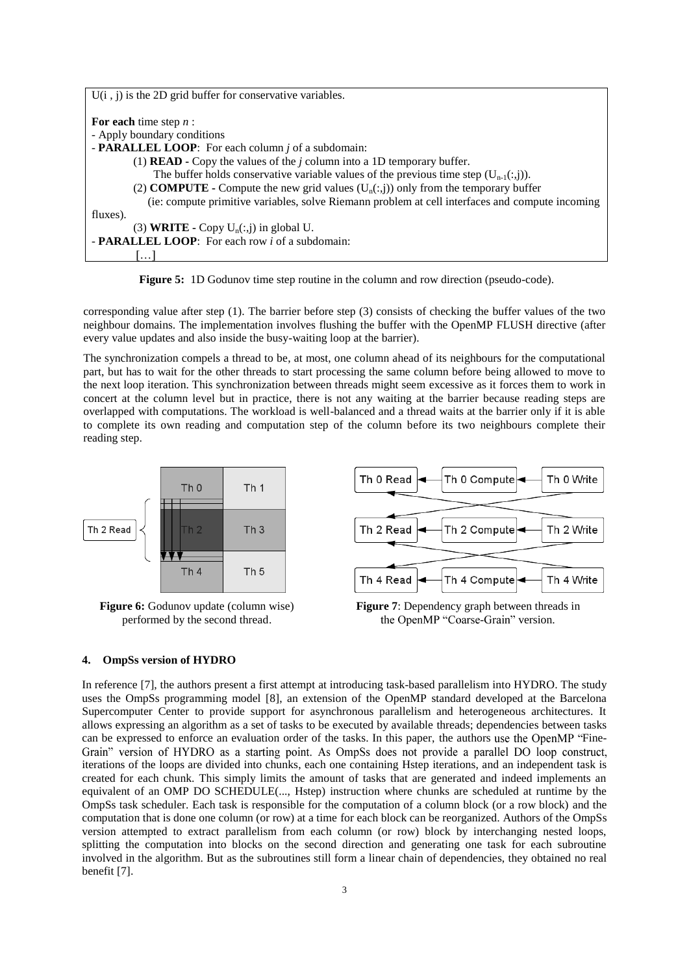| $U(i, j)$ is the 2D grid buffer for conservative variables.                                     |
|-------------------------------------------------------------------------------------------------|
| For each time step $n$ :                                                                        |
| - Apply boundary conditions                                                                     |
| - <b>PARALLEL LOOP</b> : For each column <i>j</i> of a subdomain:                               |
| (1) <b>READ</b> - Copy the values of the $j$ column into a 1D temporary buffer.                 |
| The buffer holds conservative variable values of the previous time step $(U_{n-1}(:,i))$ .      |
| (2) <b>COMPUTE</b> - Compute the new grid values $(U_n(:,j))$ only from the temporary buffer    |
| (ie: compute primitive variables, solve Riemann problem at cell interfaces and compute incoming |
| fluxes).                                                                                        |
| (3) <b>WRITE</b> - Copy $U_n(:,j)$ in global U.                                                 |
| - <b>PARALLEL LOOP</b> : For each row <i>i</i> of a subdomain:                                  |
|                                                                                                 |

**Figure 5:** 1D Godunov time step routine in the column and row direction (pseudo-code).

corresponding value after step (1). The barrier before step (3) consists of checking the buffer values of the two neighbour domains. The implementation involves flushing the buffer with the OpenMP FLUSH directive (after every value updates and also inside the busy-waiting loop at the barrier).

The synchronization compels a thread to be, at most, one column ahead of its neighbours for the computational part, but has to wait for the other threads to start processing the same column before being allowed to move to the next loop iteration. This synchronization between threads might seem excessive as it forces them to work in concert at the column level but in practice, there is not any waiting at the barrier because reading steps are overlapped with computations. The workload is well-balanced and a thread waits at the barrier only if it is able to complete its own reading and computation step of the column before its two neighbours complete their reading step.



**Figure 6:** Godunov update (column wise) performed by the second thread.



**Figure 7**: Dependency graph between threads in the OpenMP "Coarse-Grain" version.

#### **4. OmpSs version of HYDRO**

In reference [7], the authors present a first attempt at introducing task-based parallelism into HYDRO. The study uses the OmpSs programming model [8], an extension of the OpenMP standard developed at the Barcelona Supercomputer Center to provide support for asynchronous parallelism and heterogeneous architectures. It allows expressing an algorithm as a set of tasks to be executed by available threads; dependencies between tasks can be expressed to enforce an evaluation order of the tasks. In this paper, the authors use the OpenMP "Fine-Grain" version of HYDRO as a starting point. As OmpSs does not provide a parallel DO loop construct, iterations of the loops are divided into chunks, each one containing Hstep iterations, and an independent task is created for each chunk. This simply limits the amount of tasks that are generated and indeed implements an equivalent of an OMP DO SCHEDULE(..., Hstep) instruction where chunks are scheduled at runtime by the OmpSs task scheduler. Each task is responsible for the computation of a column block (or a row block) and the computation that is done one column (or row) at a time for each block can be reorganized. Authors of the OmpSs version attempted to extract parallelism from each column (or row) block by interchanging nested loops, splitting the computation into blocks on the second direction and generating one task for each subroutine involved in the algorithm. But as the subroutines still form a linear chain of dependencies, they obtained no real benefit [7].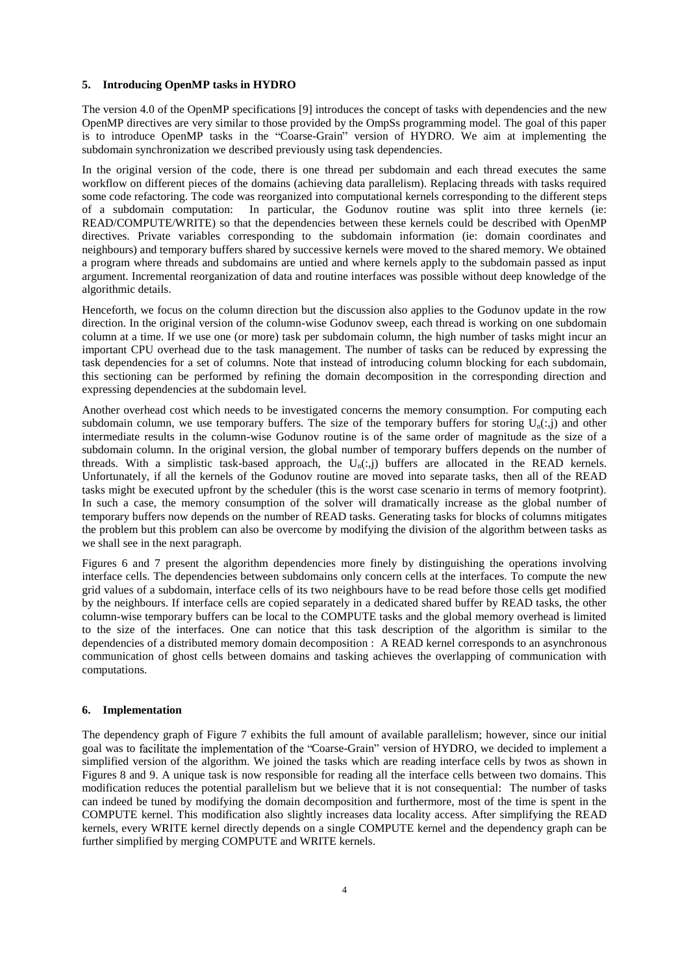#### **5. Introducing OpenMP tasks in HYDRO**

The version 4.0 of the OpenMP specifications [9] introduces the concept of tasks with dependencies and the new OpenMP directives are very similar to those provided by the OmpSs programming model. The goal of this paper is to introduce OpenMP tasks in the "Coarse-Grain" version of HYDRO. We aim at implementing the subdomain synchronization we described previously using task dependencies.

In the original version of the code, there is one thread per subdomain and each thread executes the same workflow on different pieces of the domains (achieving data parallelism). Replacing threads with tasks required some code refactoring. The code was reorganized into computational kernels corresponding to the different steps of a subdomain computation: In particular, the Godunov routine was split into three kernels (ie: READ/COMPUTE/WRITE) so that the dependencies between these kernels could be described with OpenMP directives. Private variables corresponding to the subdomain information (ie: domain coordinates and neighbours) and temporary buffers shared by successive kernels were moved to the shared memory. We obtained a program where threads and subdomains are untied and where kernels apply to the subdomain passed as input argument. Incremental reorganization of data and routine interfaces was possible without deep knowledge of the algorithmic details.

Henceforth, we focus on the column direction but the discussion also applies to the Godunov update in the row direction. In the original version of the column-wise Godunov sweep, each thread is working on one subdomain column at a time. If we use one (or more) task per subdomain column, the high number of tasks might incur an important CPU overhead due to the task management. The number of tasks can be reduced by expressing the task dependencies for a set of columns. Note that instead of introducing column blocking for each subdomain, this sectioning can be performed by refining the domain decomposition in the corresponding direction and expressing dependencies at the subdomain level.

Another overhead cost which needs to be investigated concerns the memory consumption. For computing each subdomain column, we use temporary buffers. The size of the temporary buffers for storing  $U_n(:,j)$  and other intermediate results in the column-wise Godunov routine is of the same order of magnitude as the size of a subdomain column. In the original version, the global number of temporary buffers depends on the number of threads. With a simplistic task-based approach, the  $U_n(:,j)$  buffers are allocated in the READ kernels. Unfortunately, if all the kernels of the Godunov routine are moved into separate tasks, then all of the READ tasks might be executed upfront by the scheduler (this is the worst case scenario in terms of memory footprint). In such a case, the memory consumption of the solver will dramatically increase as the global number of temporary buffers now depends on the number of READ tasks. Generating tasks for blocks of columns mitigates the problem but this problem can also be overcome by modifying the division of the algorithm between tasks as we shall see in the next paragraph.

Figures 6 and 7 present the algorithm dependencies more finely by distinguishing the operations involving interface cells. The dependencies between subdomains only concern cells at the interfaces. To compute the new grid values of a subdomain, interface cells of its two neighbours have to be read before those cells get modified by the neighbours. If interface cells are copied separately in a dedicated shared buffer by READ tasks, the other column-wise temporary buffers can be local to the COMPUTE tasks and the global memory overhead is limited to the size of the interfaces. One can notice that this task description of the algorithm is similar to the dependencies of a distributed memory domain decomposition : A READ kernel corresponds to an asynchronous communication of ghost cells between domains and tasking achieves the overlapping of communication with computations.

#### **6. Implementation**

The dependency graph of Figure 7 exhibits the full amount of available parallelism; however, since our initial goal was to facilitate the implementation of the "Coarse-Grain" version of HYDRO, we decided to implement a simplified version of the algorithm. We joined the tasks which are reading interface cells by twos as shown in Figures 8 and 9. A unique task is now responsible for reading all the interface cells between two domains. This modification reduces the potential parallelism but we believe that it is not consequential: The number of tasks can indeed be tuned by modifying the domain decomposition and furthermore, most of the time is spent in the COMPUTE kernel. This modification also slightly increases data locality access. After simplifying the READ kernels, every WRITE kernel directly depends on a single COMPUTE kernel and the dependency graph can be further simplified by merging COMPUTE and WRITE kernels.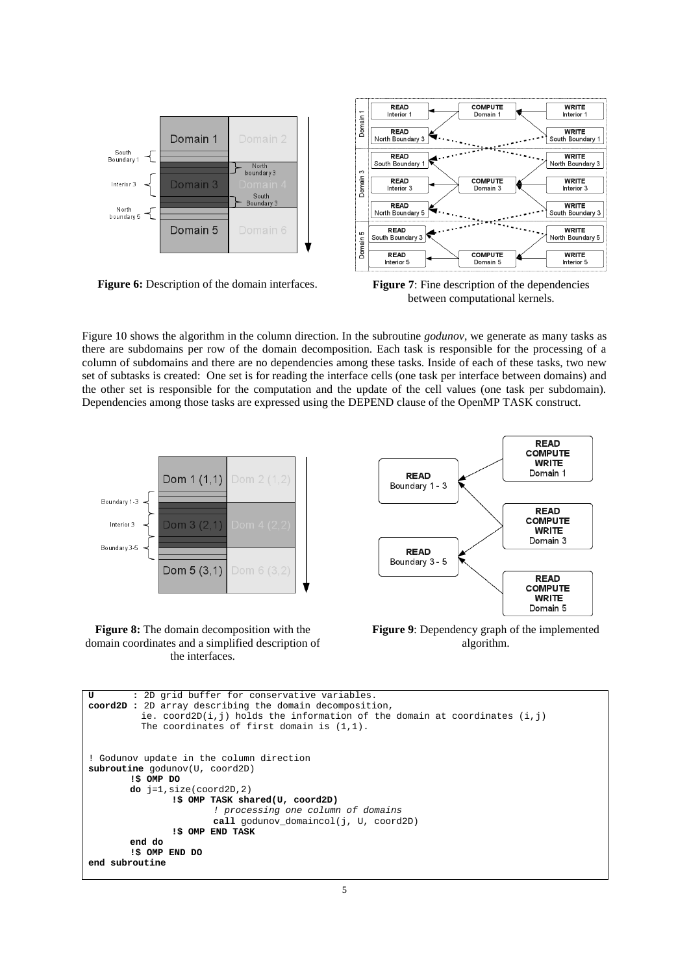

**Figure 6:** Description of the domain interfaces. **Figure 7**: Fine description of the dependencies between computational kernels.

Figure 10 shows the algorithm in the column direction. In the subroutine *godunov*, we generate as many tasks as there are subdomains per row of the domain decomposition. Each task is responsible for the processing of a column of subdomains and there are no dependencies among these tasks. Inside of each of these tasks, two new set of subtasks is created: One set is for reading the interface cells (one task per interface between domains) and the other set is responsible for the computation and the update of the cell values (one task per subdomain). Dependencies among those tasks are expressed using the DEPEND clause of the OpenMP TASK construct.







**Figure 9**: Dependency graph of the implemented algorithm.

```
U : 2D grid buffer for conservative variables.
coord2D : 2D array describing the domain decomposition,
         ie. coord2D(i,j) holds the information of the domain at coordinates (i, j) The coordinates of first domain is (1,1).
! Godunov update in the column direction
subroutine godunov(U, coord2D)
       !$ OMP DO
       do j=1,size(coord2D,2)
               !$ OMP TASK shared(U, coord2D)
                       ! processing one column of domains
                      call godunov_domaincol(j, U, coord2D)
               !$ OMP END TASK
       end do
       !$ OMP END DO
end subroutine
```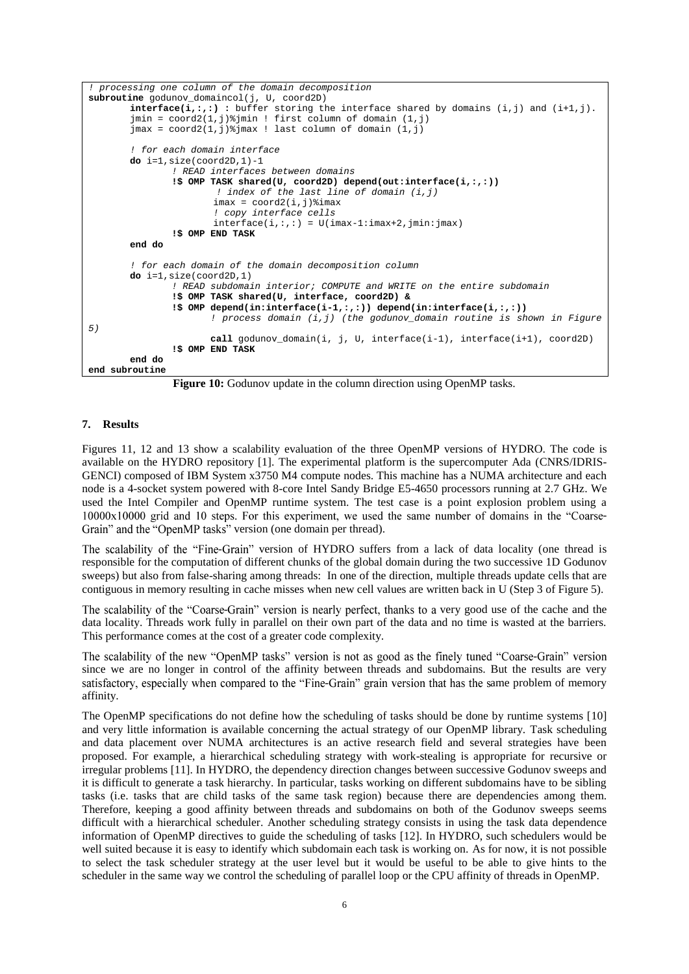```
! processing one column of the domain decomposition
subroutine godunov domaincol(j, U, coord2D)
       interface(i,:,:) : buffer storing the interface shared by domains (i,j) and (i+1,j).
        jmin = coord2(1,j)%jmin ! first column of domain (1,j)
        jmax = coord2(1, j) jmax ! last column of domain (1, j)! for each domain interface
       do i=1,size(coord2D,1)-1
                ! READ interfaces between domains
               !$ OMP TASK shared(U, coord2D) depend(out:interface(i,:,:))
                        ! index of the last line of domain (i,j)
                       imax = coord2(i,j) % imax ! copy interface cells
                       interface(i,:,:) = U(imax-1:imax+2,jmin:jmax)!$ OMP END TASK
       end do
        ! for each domain of the domain decomposition column
       do i=1,size(coord2D,1)
                ! READ subdomain interior; COMPUTE and WRITE on the entire subdomain
               !$ OMP TASK shared(U, interface, coord2D) &
               !$ OMP depend(in:interface(i-1,:,:)) depend(in:interface(i,:,:))
                       ! process domain (i,j) (the godunov_domain routine is shown in Figure 
5)
                       call godunov_domain(i, j, U, interface(i-1), interface(i+1), coord2D)
               !$ OMP END TASK
        end do
end subroutine
```
Figure 10: Godunov update in the column direction using OpenMP tasks.

#### **7. Results**

Figures 11, 12 and 13 show a scalability evaluation of the three OpenMP versions of HYDRO. The code is available on the HYDRO repository [1]. The experimental platform is the supercomputer Ada (CNRS/IDRIS-GENCI) composed of IBM System x3750 M4 compute nodes. This machine has a NUMA architecture and each node is a 4-socket system powered with 8-core Intel Sandy Bridge E5-4650 processors running at 2.7 GHz. We used the Intel Compiler and OpenMP runtime system. The test case is a point explosion problem using a 10000x10000 grid and 10 steps. For this experiment, we used the same number of domains in the "Coarse-Grain" and the "OpenMP tasks" version (one domain per thread).

The scalability of the "Fine-Grain" version of HYDRO suffers from a lack of data locality (one thread is responsible for the computation of different chunks of the global domain during the two successive 1D Godunov sweeps) but also from false-sharing among threads: In one of the direction, multiple threads update cells that are contiguous in memory resulting in cache misses when new cell values are written back in U (Step 3 of Figure 5).

The scalability of the "Coarse-Grain" version is nearly perfect, thanks to a very good use of the cache and the data locality. Threads work fully in parallel on their own part of the data and no time is wasted at the barriers. This performance comes at the cost of a greater code complexity.

The scalability of the new "OpenMP tasks" version is not as good as the finely tuned "Coarse-Grain" version since we are no longer in control of the affinity between threads and subdomains. But the results are very satisfactory, especially when compared to the "Fine-Grain" grain version that has the same problem of memory affinity.

The OpenMP specifications do not define how the scheduling of tasks should be done by runtime systems [10] and very little information is available concerning the actual strategy of our OpenMP library. Task scheduling and data placement over NUMA architectures is an active research field and several strategies have been proposed. For example, a hierarchical scheduling strategy with work-stealing is appropriate for recursive or irregular problems [11]. In HYDRO, the dependency direction changes between successive Godunov sweeps and it is difficult to generate a task hierarchy. In particular, tasks working on different subdomains have to be sibling tasks (i.e. tasks that are child tasks of the same task region) because there are dependencies among them. Therefore, keeping a good affinity between threads and subdomains on both of the Godunov sweeps seems difficult with a hierarchical scheduler. Another scheduling strategy consists in using the task data dependence information of OpenMP directives to guide the scheduling of tasks [12]. In HYDRO, such schedulers would be well suited because it is easy to identify which subdomain each task is working on. As for now, it is not possible to select the task scheduler strategy at the user level but it would be useful to be able to give hints to the scheduler in the same way we control the scheduling of parallel loop or the CPU affinity of threads in OpenMP.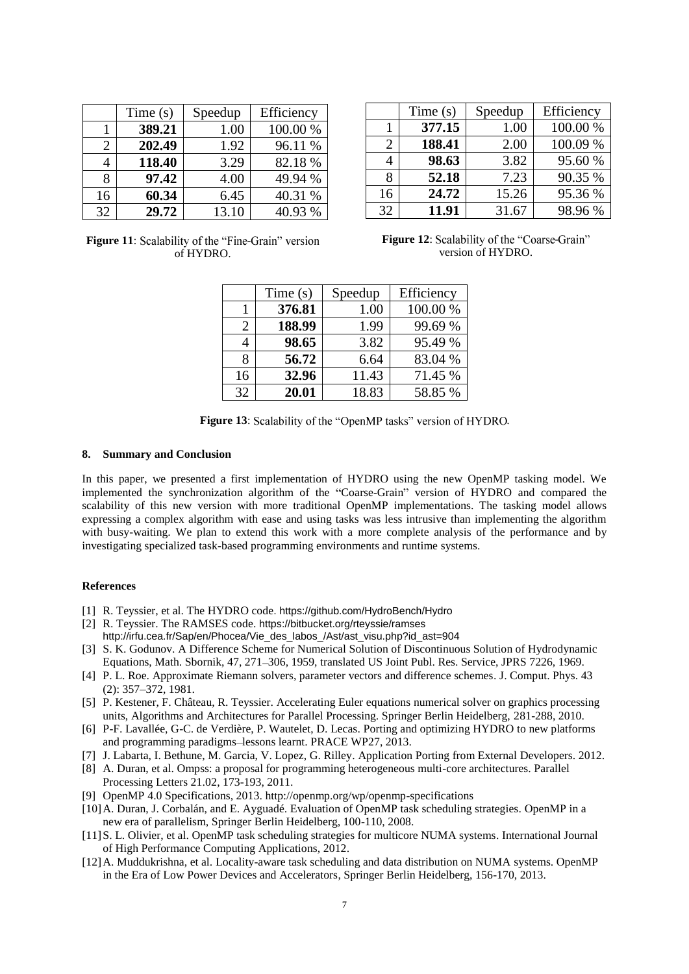|    | Time(s) | Speedup | Efficiency |
|----|---------|---------|------------|
|    | 389.21  | 1.00    | 100.00 %   |
| 2  | 202.49  | 1.92    | 96.11 %    |
|    | 118.40  | 3.29    | 82.18%     |
| 8  | 97.42   | 4.00    | 49.94 %    |
| 16 | 60.34   | 6.45    | 40.31 %    |
| 32 | 29.72   | 13.10   | 40.93 %    |

|    | Time $(s)$ | Speedup | Efficiency |
|----|------------|---------|------------|
|    | 377.15     | 1.00    | 100.00 %   |
| 2  | 188.41     | 2.00    | 100.09 %   |
|    | 98.63      | 3.82    | 95.60 %    |
|    | 52.18      | 7.23    | 90.35 %    |
| 16 | 24.72      | 15.26   | 95.36 %    |
| 32 | 11.91      | 31.67   | 98.96%     |

Figure 11: Scalability of the "Fine-Grain" version of HYDRO.

Figure 12: Scalability of the "Coarse-Grain" version of HYDRO.

|    | Time $(s)$ | Speedup | Efficiency |
|----|------------|---------|------------|
|    | 376.81     | 1.00    | 100.00 %   |
| 2  | 188.99     | 1.99    | 99.69 %    |
|    | 98.65      | 3.82    | 95.49 %    |
| 8  | 56.72      | 6.64    | 83.04 %    |
| 16 | 32.96      | 11.43   | 71.45 %    |
| 32 | 20.01      | 18.83   | 58.85 %    |

Figure 13: Scalability of the "OpenMP tasks" version of HYDRO.

#### **8. Summary and Conclusion**

In this paper, we presented a first implementation of HYDRO using the new OpenMP tasking model. We implemented the synchronization algorithm of the "Coarse-Grain" version of HYDRO and compared the scalability of this new version with more traditional OpenMP implementations. The tasking model allows expressing a complex algorithm with ease and using tasks was less intrusive than implementing the algorithm with busy-waiting. We plan to extend this work with a more complete analysis of the performance and by investigating specialized task-based programming environments and runtime systems.

#### **References**

- [1] R. Teyssier, et al. The HYDRO code. <https://github.com/HydroBench/Hydro>
- [2] R. Teyssier. The RAMSES code. https://bitbucket.org/rteyssie/ramses http://irfu.cea.fr/Sap/en/Phocea/Vie\_des\_labos\_/Ast/ast\_visu.php?id\_ast=904
- [3] S. K. Godunov. A Difference Scheme for Numerical Solution of Discontinuous Solution of Hydrodynamic Equations, Math. Sbornik, 47, 271 306, 1959, translated US Joint Publ. Res. Service, JPRS 7226, 1969.
- [4] P. L. Roe. Approximate Riemann solvers, parameter vectors and difference schemes. J. Comput. Phys. 43  $(2): 357 - 372, 1981.$
- [5] P. Kestener, F. Château, R. Teyssier. Accelerating Euler equations numerical solver on graphics processing units, Algorithms and Architectures for Parallel Processing. Springer Berlin Heidelberg, 281-288, 2010.
- [6] P-F. Lavallée, G-C. de Verdière, P. Wautelet, D. Lecas. Porting and optimizing HYDRO to new platforms and programming paradigms-lessons learnt. PRACE WP27, 2013.
- [7] J. Labarta, I. Bethune, M. Garcia, V. Lopez, G. Rilley. Application Porting from External Developers. 2012.
- [8] A. Duran, et al. Ompss: a proposal for programming heterogeneous multi-core architectures. Parallel Processing Letters 21.02, 173-193, 2011.
- [9] OpenMP 4.0 Specifications, 2013. <http://openmp.org/wp/openmp-specifications>
- [10]A. Duran, J. Corbalán, and E. Ayguadé. Evaluation of OpenMP task scheduling strategies. OpenMP in a new era of parallelism, Springer Berlin Heidelberg, 100-110, 2008.
- [11]S. L. Olivier, et al. OpenMP task scheduling strategies for multicore NUMA systems. International Journal of High Performance Computing Applications, 2012.
- [12]A. Muddukrishna, et al. Locality-aware task scheduling and data distribution on NUMA systems. OpenMP in the Era of Low Power Devices and Accelerators, Springer Berlin Heidelberg, 156-170, 2013.